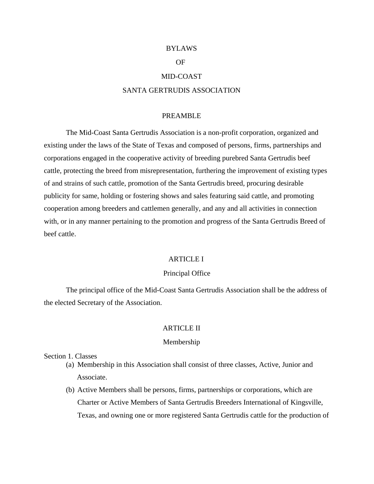#### BYLAWS

## OF

#### MID-COAST

# SANTA GERTRUDIS ASSOCIATION

## PREAMBLE

 The Mid-Coast Santa Gertrudis Association is a non-profit corporation, organized and existing under the laws of the State of Texas and composed of persons, firms, partnerships and corporations engaged in the cooperative activity of breeding purebred Santa Gertrudis beef cattle, protecting the breed from misrepresentation, furthering the improvement of existing types of and strains of such cattle, promotion of the Santa Gertrudis breed, procuring desirable publicity for same, holding or fostering shows and sales featuring said cattle, and promoting cooperation among breeders and cattlemen generally, and any and all activities in connection with, or in any manner pertaining to the promotion and progress of the Santa Gertrudis Breed of beef cattle.

# ARTICLE I

#### Principal Office

 The principal office of the Mid-Coast Santa Gertrudis Association shall be the address of the elected Secretary of the Association.

# ARTICLE II

#### Membership

#### Section 1. Classes

- (a) Membership in this Association shall consist of three classes, Active, Junior and Associate.
- (b) Active Members shall be persons, firms, partnerships or corporations, which are Charter or Active Members of Santa Gertrudis Breeders International of Kingsville, Texas, and owning one or more registered Santa Gertrudis cattle for the production of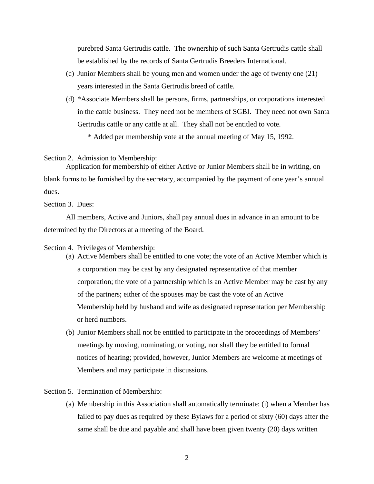purebred Santa Gertrudis cattle. The ownership of such Santa Gertrudis cattle shall be established by the records of Santa Gertrudis Breeders International.

- (c) Junior Members shall be young men and women under the age of twenty one (21) years interested in the Santa Gertrudis breed of cattle.
- (d) \*Associate Members shall be persons, firms, partnerships, or corporations interested in the cattle business. They need not be members of SGBI. They need not own Santa Gertrudis cattle or any cattle at all. They shall not be entitled to vote.

\* Added per membership vote at the annual meeting of May 15, 1992.

Section 2. Admission to Membership:

 Application for membership of either Active or Junior Members shall be in writing, on blank forms to be furnished by the secretary, accompanied by the payment of one year's annual dues.

Section 3. Dues:

All members, Active and Juniors, shall pay annual dues in advance in an amount to be determined by the Directors at a meeting of the Board.

#### Section 4. Privileges of Membership:

- (a) Active Members shall be entitled to one vote; the vote of an Active Member which is a corporation may be cast by any designated representative of that member corporation; the vote of a partnership which is an Active Member may be cast by any of the partners; either of the spouses may be cast the vote of an Active Membership held by husband and wife as designated representation per Membership or herd numbers.
- (b) Junior Members shall not be entitled to participate in the proceedings of Members' meetings by moving, nominating, or voting, nor shall they be entitled to formal notices of hearing; provided, however, Junior Members are welcome at meetings of Members and may participate in discussions.

Section 5. Termination of Membership:

(a) Membership in this Association shall automatically terminate: (i) when a Member has failed to pay dues as required by these Bylaws for a period of sixty (60) days after the same shall be due and payable and shall have been given twenty (20) days written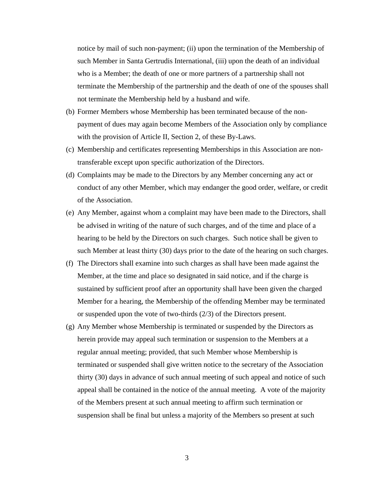notice by mail of such non-payment; (ii) upon the termination of the Membership of such Member in Santa Gertrudis International, (iii) upon the death of an individual who is a Member; the death of one or more partners of a partnership shall not terminate the Membership of the partnership and the death of one of the spouses shall not terminate the Membership held by a husband and wife.

- (b) Former Members whose Membership has been terminated because of the nonpayment of dues may again become Members of the Association only by compliance with the provision of Article II, Section 2, of these By-Laws.
- (c) Membership and certificates representing Memberships in this Association are nontransferable except upon specific authorization of the Directors.
- (d) Complaints may be made to the Directors by any Member concerning any act or conduct of any other Member, which may endanger the good order, welfare, or credit of the Association.
- (e) Any Member, against whom a complaint may have been made to the Directors, shall be advised in writing of the nature of such charges, and of the time and place of a hearing to be held by the Directors on such charges. Such notice shall be given to such Member at least thirty (30) days prior to the date of the hearing on such charges.
- (f) The Directors shall examine into such charges as shall have been made against the Member, at the time and place so designated in said notice, and if the charge is sustained by sufficient proof after an opportunity shall have been given the charged Member for a hearing, the Membership of the offending Member may be terminated or suspended upon the vote of two-thirds (2/3) of the Directors present.
- (g) Any Member whose Membership is terminated or suspended by the Directors as herein provide may appeal such termination or suspension to the Members at a regular annual meeting; provided, that such Member whose Membership is terminated or suspended shall give written notice to the secretary of the Association thirty (30) days in advance of such annual meeting of such appeal and notice of such appeal shall be contained in the notice of the annual meeting. A vote of the majority of the Members present at such annual meeting to affirm such termination or suspension shall be final but unless a majority of the Members so present at such

3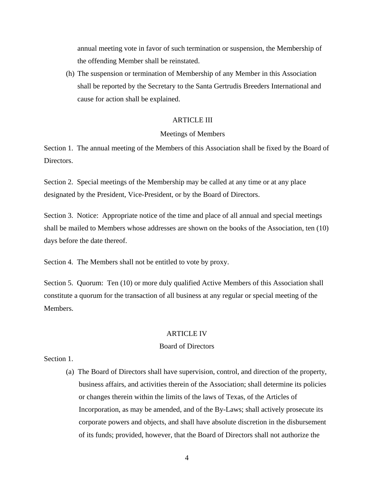annual meeting vote in favor of such termination or suspension, the Membership of the offending Member shall be reinstated.

(h) The suspension or termination of Membership of any Member in this Association shall be reported by the Secretary to the Santa Gertrudis Breeders International and cause for action shall be explained.

## ARTICLE III

## Meetings of Members

Section 1. The annual meeting of the Members of this Association shall be fixed by the Board of Directors.

Section 2. Special meetings of the Membership may be called at any time or at any place designated by the President, Vice-President, or by the Board of Directors.

Section 3. Notice: Appropriate notice of the time and place of all annual and special meetings shall be mailed to Members whose addresses are shown on the books of the Association, ten (10) days before the date thereof.

Section 4. The Members shall not be entitled to vote by proxy.

Section 5. Quorum: Ten (10) or more duly qualified Active Members of this Association shall constitute a quorum for the transaction of all business at any regular or special meeting of the Members.

# ARTICLE IV

# Board of Directors

Section 1.

(a) The Board of Directors shall have supervision, control, and direction of the property, business affairs, and activities therein of the Association; shall determine its policies or changes therein within the limits of the laws of Texas, of the Articles of Incorporation, as may be amended, and of the By-Laws; shall actively prosecute its corporate powers and objects, and shall have absolute discretion in the disbursement of its funds; provided, however, that the Board of Directors shall not authorize the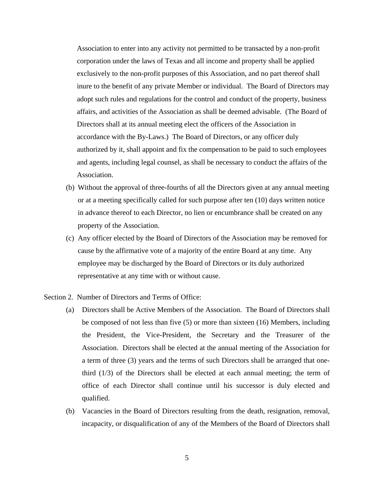Association to enter into any activity not permitted to be transacted by a non-profit corporation under the laws of Texas and all income and property shall be applied exclusively to the non-profit purposes of this Association, and no part thereof shall inure to the benefit of any private Member or individual. The Board of Directors may adopt such rules and regulations for the control and conduct of the property, business affairs, and activities of the Association as shall be deemed advisable. (The Board of Directors shall at its annual meeting elect the officers of the Association in accordance with the By-Laws.) The Board of Directors, or any officer duly authorized by it, shall appoint and fix the compensation to be paid to such employees and agents, including legal counsel, as shall be necessary to conduct the affairs of the Association.

- (b) Without the approval of three-fourths of all the Directors given at any annual meeting or at a meeting specifically called for such purpose after ten (10) days written notice in advance thereof to each Director, no lien or encumbrance shall be created on any property of the Association.
- (c) Any officer elected by the Board of Directors of the Association may be removed for cause by the affirmative vote of a majority of the entire Board at any time. Any employee may be discharged by the Board of Directors or its duly authorized representative at any time with or without cause.
- Section 2. Number of Directors and Terms of Office:
	- (a) Directors shall be Active Members of the Association. The Board of Directors shall be composed of not less than five (5) or more than sixteen (16) Members, including the President, the Vice-President, the Secretary and the Treasurer of the Association. Directors shall be elected at the annual meeting of the Association for a term of three (3) years and the terms of such Directors shall be arranged that onethird (1/3) of the Directors shall be elected at each annual meeting; the term of office of each Director shall continue until his successor is duly elected and qualified.
	- (b) Vacancies in the Board of Directors resulting from the death, resignation, removal, incapacity, or disqualification of any of the Members of the Board of Directors shall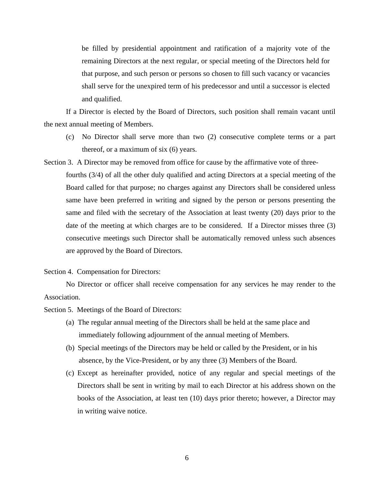be filled by presidential appointment and ratification of a majority vote of the remaining Directors at the next regular, or special meeting of the Directors held for that purpose, and such person or persons so chosen to fill such vacancy or vacancies shall serve for the unexpired term of his predecessor and until a successor is elected and qualified.

If a Director is elected by the Board of Directors, such position shall remain vacant until the next annual meeting of Members.

- (c) No Director shall serve more than two (2) consecutive complete terms or a part thereof, or a maximum of six (6) years.
- Section 3. A Director may be removed from office for cause by the affirmative vote of threefourths (3/4) of all the other duly qualified and acting Directors at a special meeting of the Board called for that purpose; no charges against any Directors shall be considered unless same have been preferred in writing and signed by the person or persons presenting the same and filed with the secretary of the Association at least twenty (20) days prior to the date of the meeting at which charges are to be considered. If a Director misses three (3) consecutive meetings such Director shall be automatically removed unless such absences are approved by the Board of Directors.

Section 4. Compensation for Directors:

No Director or officer shall receive compensation for any services he may render to the Association.

Section 5. Meetings of the Board of Directors:

- (a) The regular annual meeting of the Directors shall be held at the same place and immediately following adjournment of the annual meeting of Members.
- (b) Special meetings of the Directors may be held or called by the President, or in his absence, by the Vice-President, or by any three (3) Members of the Board.
- (c) Except as hereinafter provided, notice of any regular and special meetings of the Directors shall be sent in writing by mail to each Director at his address shown on the books of the Association, at least ten (10) days prior thereto; however, a Director may in writing waive notice.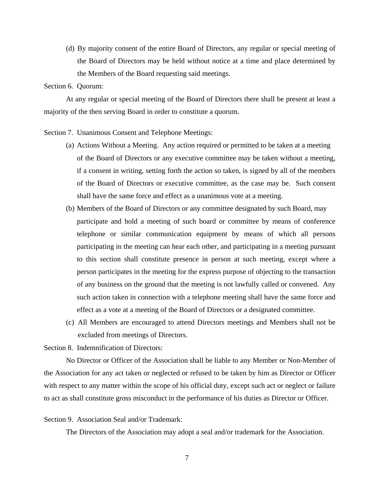(d) By majority consent of the entire Board of Directors, any regular or special meeting of the Board of Directors may be held without notice at a time and place determined by the Members of the Board requesting said meetings.

Section 6. Quorum:

 At any regular or special meeting of the Board of Directors there shall be present at least a majority of the then serving Board in order to constitute a quorum.

Section 7. Unanimous Consent and Telephone Meetings:

- (a) Actions Without a Meeting. Any action required or permitted to be taken at a meeting of the Board of Directors or any executive committee may be taken without a meeting, if a consent in writing, setting forth the action so taken, is signed by all of the members of the Board of Directors or executive committee, as the case may be. Such consent shall have the same force and effect as a unanimous vote at a meeting.
- (b) Members of the Board of Directors or any committee designated by such Board, may participate and hold a meeting of such board or committee by means of conference telephone or similar communication equipment by means of which all persons participating in the meeting can hear each other, and participating in a meeting pursuant to this section shall constitute presence in person at such meeting, except where a person participates in the meeting for the express purpose of objecting to the transaction of any business on the ground that the meeting is not lawfully called or convened. Any such action taken in connection with a telephone meeting shall have the same force and effect as a vote at a meeting of the Board of Directors or a designated committee.
- (c) All Members are encouraged to attend Directors meetings and Members shall not be excluded from meetings of Directors.

Section 8. Indemnification of Directors:

No Director or Officer of the Association shall be liable to any Member or Non-Member of the Association for any act taken or neglected or refused to be taken by him as Director or Officer with respect to any matter within the scope of his official duty, except such act or neglect or failure to act as shall constitute gross misconduct in the performance of his duties as Director or Officer.

## Section 9. Association Seal and/or Trademark:

The Directors of the Association may adopt a seal and/or trademark for the Association.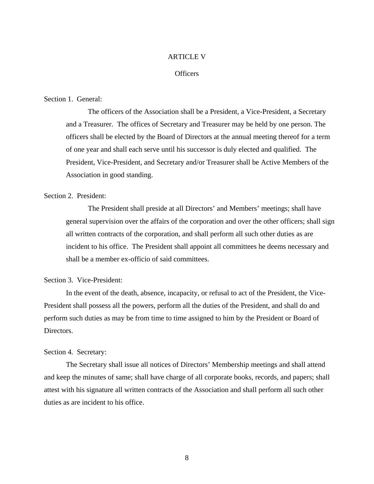## ARTICLE V

# **Officers**

## Section 1. General:

The officers of the Association shall be a President, a Vice-President, a Secretary and a Treasurer. The offices of Secretary and Treasurer may be held by one person. The officers shall be elected by the Board of Directors at the annual meeting thereof for a term of one year and shall each serve until his successor is duly elected and qualified. The President, Vice-President, and Secretary and/or Treasurer shall be Active Members of the Association in good standing.

# Section 2. President:

The President shall preside at all Directors' and Members' meetings; shall have general supervision over the affairs of the corporation and over the other officers; shall sign all written contracts of the corporation, and shall perform all such other duties as are incident to his office. The President shall appoint all committees he deems necessary and shall be a member ex-officio of said committees.

# Section 3. Vice-President:

In the event of the death, absence, incapacity, or refusal to act of the President, the Vice-President shall possess all the powers, perform all the duties of the President, and shall do and perform such duties as may be from time to time assigned to him by the President or Board of Directors.

#### Section 4. Secretary:

The Secretary shall issue all notices of Directors' Membership meetings and shall attend and keep the minutes of same; shall have charge of all corporate books, records, and papers; shall attest with his signature all written contracts of the Association and shall perform all such other duties as are incident to his office.

8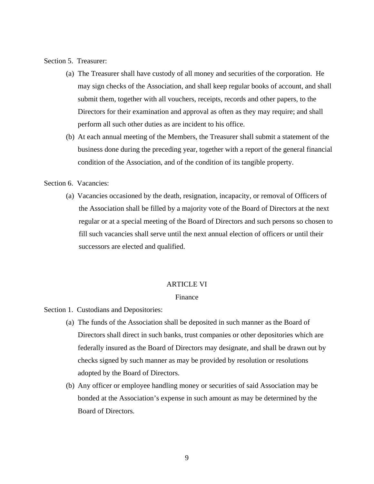Section 5. Treasurer:

- (a) The Treasurer shall have custody of all money and securities of the corporation. He may sign checks of the Association, and shall keep regular books of account, and shall submit them, together with all vouchers, receipts, records and other papers, to the Directors for their examination and approval as often as they may require; and shall perform all such other duties as are incident to his office.
- (b) At each annual meeting of the Members, the Treasurer shall submit a statement of the business done during the preceding year, together with a report of the general financial condition of the Association, and of the condition of its tangible property.

Section 6. Vacancies:

(a) Vacancies occasioned by the death, resignation, incapacity, or removal of Officers of the Association shall be filled by a majority vote of the Board of Directors at the next regular or at a special meeting of the Board of Directors and such persons so chosen to fill such vacancies shall serve until the next annual election of officers or until their successors are elected and qualified.

## ARTICLE VI

# Finance

Section 1. Custodians and Depositories:

- (a) The funds of the Association shall be deposited in such manner as the Board of Directors shall direct in such banks, trust companies or other depositories which are federally insured as the Board of Directors may designate, and shall be drawn out by checks signed by such manner as may be provided by resolution or resolutions adopted by the Board of Directors.
- (b) Any officer or employee handling money or securities of said Association may be bonded at the Association's expense in such amount as may be determined by the Board of Directors.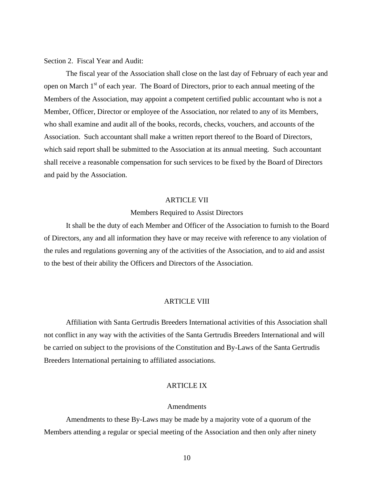Section 2. Fiscal Year and Audit:

 The fiscal year of the Association shall close on the last day of February of each year and open on March 1<sup>st</sup> of each year. The Board of Directors, prior to each annual meeting of the Members of the Association, may appoint a competent certified public accountant who is not a Member, Officer, Director or employee of the Association, nor related to any of its Members, who shall examine and audit all of the books, records, checks, vouchers, and accounts of the Association. Such accountant shall make a written report thereof to the Board of Directors, which said report shall be submitted to the Association at its annual meeting. Such accountant shall receive a reasonable compensation for such services to be fixed by the Board of Directors and paid by the Association.

#### ARTICLE VII

# Members Required to Assist Directors

 It shall be the duty of each Member and Officer of the Association to furnish to the Board of Directors, any and all information they have or may receive with reference to any violation of the rules and regulations governing any of the activities of the Association, and to aid and assist to the best of their ability the Officers and Directors of the Association.

#### ARTICLE VIII

 Affiliation with Santa Gertrudis Breeders International activities of this Association shall not conflict in any way with the activities of the Santa Gertrudis Breeders International and will be carried on subject to the provisions of the Constitution and By-Laws of the Santa Gertrudis Breeders International pertaining to affiliated associations.

#### ARTICLE IX

## Amendments

 Amendments to these By-Laws may be made by a majority vote of a quorum of the Members attending a regular or special meeting of the Association and then only after ninety